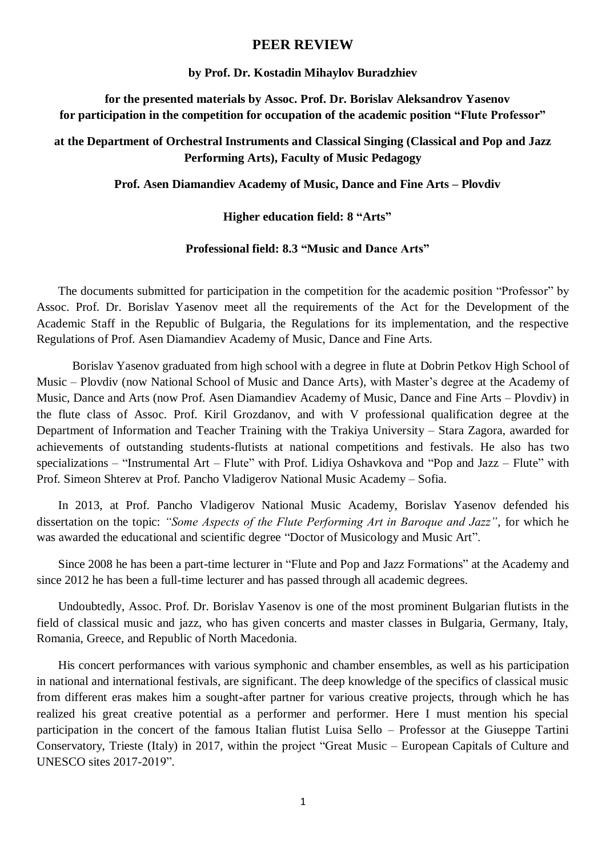# **PEER REVIEW**

### **by Prof. Dr. Kostadin Mihaylov Buradzhiev**

**for the presented materials by Assoc. Prof. Dr. Borislav Aleksandrov Yasenov for participation in the competition for occupation of the academic position "Flute Professor"**

# **at the Department of Orchestral Instruments and Classical Singing (Classical and Pop and Jazz Performing Arts), Faculty of Music Pedagogy**

**Prof. Asen Diamandiev Academy of Music, Dance and Fine Arts – Plovdiv**

## **Higher education field: 8 "Arts"**

#### **Professional field: 8.3 "Music and Dance Arts"**

The documents submitted for participation in the competition for the academic position "Professor" by Assoc. Prof. Dr. Borislav Yasenov meet all the requirements of the Act for the Development of the Academic Staff in the Republic of Bulgaria, the Regulations for its implementation, and the respective Regulations of Prof. Asen Diamandiev Academy of Music, Dance and Fine Arts.

Borislav Yasenov graduated from high school with a degree in flute at Dobrin Petkov High School of Music – Plovdiv (now National School of Music and Dance Arts), with Master's degree at the Academy of Music, Dance and Arts (now Prof. Asen Diamandiev Academy of Music, Dance and Fine Arts – Plovdiv) in the flute class of Assoc. Prof. Kiril Grozdanov, and with V professional qualification degree at the Department of Information and Teacher Training with the Trakiya University – Stara Zagora, awarded for achievements of outstanding students-flutists at national competitions and festivals. He also has two specializations – "Instrumental Art – Flute" with Prof. Lidiya Oshavkova and "Pop and Jazz – Flute" with Prof. Simeon Shterev at Prof. Pancho Vladigerov National Music Academy – Sofia.

In 2013, at Prof. Pancho Vladigerov National Music Academy, Borislav Yasenov defended his dissertation on the topic: *"Some Aspects of the Flute Performing Art in Baroque and Jazz"*, for which he was awarded the educational and scientific degree "Doctor of Musicology and Music Art".

Since 2008 he has been a part-time lecturer in "Flute and Pop and Jazz Formations" at the Academy and since 2012 he has been a full-time lecturer and has passed through all academic degrees.

Undoubtedly, Assoc. Prof. Dr. Borislav Yasenov is one of the most prominent Bulgarian flutists in the field of classical music and jazz, who has given concerts and master classes in Bulgaria, Germany, Italy, Romania, Greece, and Republic of North Macedonia.

His concert performances with various symphonic and chamber ensembles, as well as his participation in national and international festivals, are significant. The deep knowledge of the specifics of classical music from different eras makes him a sought-after partner for various creative projects, through which he has realized his great creative potential as a performer and performer. Here I must mention his special participation in the concert of the famous Italian flutist Luisa Sello – Professor at the Giuseppe Tartini Conservatory, Trieste (Italy) in 2017, within the project "Great Music – European Capitals of Culture and UNESCO sites 2017-2019".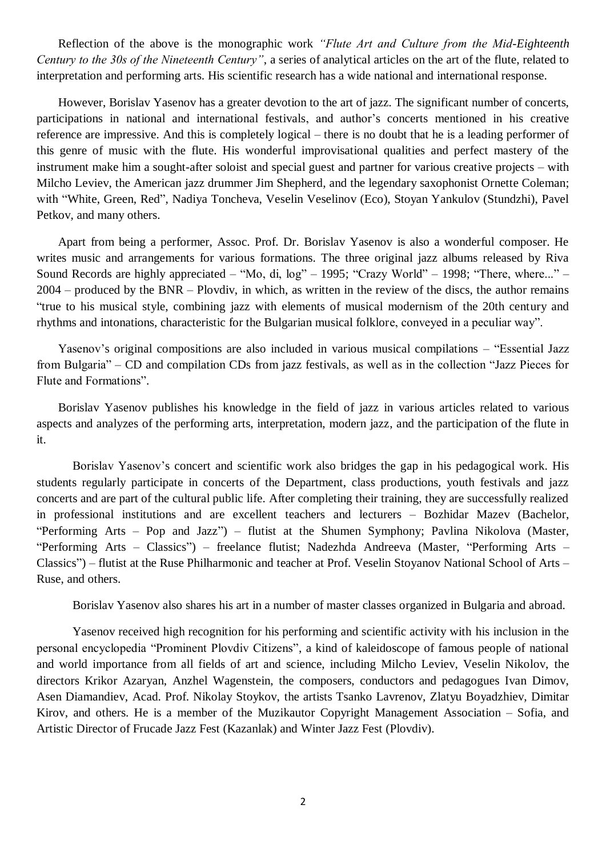Reflection of the above is the monographic work *"Flute Art and Culture from the Mid-Eighteenth Century to the 30s of the Nineteenth Century"*, a series of analytical articles on the art of the flute, related to interpretation and performing arts. His scientific research has a wide national and international response.

However, Borislav Yasenov has a greater devotion to the art of jazz. The significant number of concerts, participations in national and international festivals, and author's concerts mentioned in his creative reference are impressive. And this is completely logical – there is no doubt that he is a leading performer of this genre of music with the flute. His wonderful improvisational qualities and perfect mastery of the instrument make him a sought-after soloist and special guest and partner for various creative projects – with Milcho Leviev, the American jazz drummer Jim Shepherd, and the legendary saxophonist Ornette Coleman; with "White, Green, Red", Nadiya Toncheva, Veselin Veselinov (Eco), Stoyan Yankulov (Stundzhi), Pavel Petkov, and many others.

Apart from being a performer, Assoc. Prof. Dr. Borislav Yasenov is also a wonderful composer. He writes music and arrangements for various formations. The three original jazz albums released by Riva Sound Records are highly appreciated – "Mo, di, log" – 1995; "Crazy World" – 1998; "There, where..." – 2004 – produced by the BNR – Plovdiv, in which, as written in the review of the discs, the author remains "true to his musical style, combining jazz with elements of musical modernism of the 20th century and rhythms and intonations, characteristic for the Bulgarian musical folklore, conveyed in a peculiar way".

Yasenov's original compositions are also included in various musical compilations – "Essential Jazz from Bulgaria" – CD and compilation CDs from jazz festivals, as well as in the collection "Jazz Pieces for Flute and Formations".

Borislav Yasenov publishes his knowledge in the field of jazz in various articles related to various aspects and analyzes of the performing arts, interpretation, modern jazz, and the participation of the flute in it.

Borislav Yasenov's concert and scientific work also bridges the gap in his pedagogical work. His students regularly participate in concerts of the Department, class productions, youth festivals and jazz concerts and are part of the cultural public life. After completing their training, they are successfully realized in professional institutions and are excellent teachers and lecturers – Bozhidar Mazev (Bachelor, "Performing Arts – Pop and Jazz") – flutist at the Shumen Symphony; Pavlina Nikolova (Master, "Performing Arts – Classics") – freelance flutist; Nadezhda Andreeva (Master, "Performing Arts – Classics") – flutist at the Ruse Philharmonic and teacher at Prof. Veselin Stoyanov National School of Arts – Ruse, and others.

Borislav Yasenov also shares his art in a number of master classes organized in Bulgaria and abroad.

Yasenov received high recognition for his performing and scientific activity with his inclusion in the personal encyclopedia "Prominent Plovdiv Citizens", a kind of kaleidoscope of famous people of national and world importance from all fields of art and science, including Milcho Leviev, Veselin Nikolov, the directors Krikor Azaryan, Anzhel Wagenstein, the composers, conductors and pedagogues Ivan Dimov, Asen Diamandiev, Acad. Prof. Nikolay Stoykov, the artists Tsanko Lavrenov, Zlatyu Boyadzhiev, Dimitar Kirov, and others. He is a member of the Muzikautor Copyright Management Association – Sofia, and Artistic Director of Frucade Jazz Fest (Kazanlak) and Winter Jazz Fest (Plovdiv).